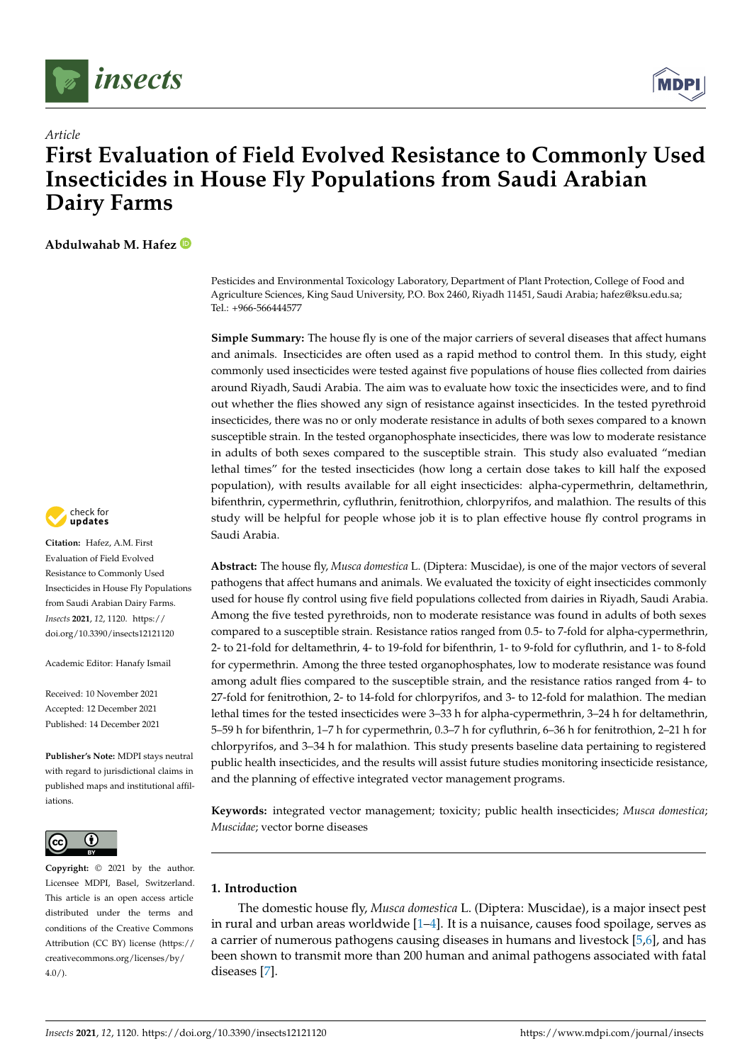

*Article*



# **First Evaluation of Field Evolved Resistance to Commonly Used Insecticides in House Fly Populations from Saudi Arabian Dairy Farms**

**Abdulwahab M. Hafez**

Pesticides and Environmental Toxicology Laboratory, Department of Plant Protection, College of Food and Agriculture Sciences, King Saud University, P.O. Box 2460, Riyadh 11451, Saudi Arabia; hafez@ksu.edu.sa; Tel.: +966-566444577

**Simple Summary:** The house fly is one of the major carriers of several diseases that affect humans and animals. Insecticides are often used as a rapid method to control them. In this study, eight commonly used insecticides were tested against five populations of house flies collected from dairies around Riyadh, Saudi Arabia. The aim was to evaluate how toxic the insecticides were, and to find out whether the flies showed any sign of resistance against insecticides. In the tested pyrethroid insecticides, there was no or only moderate resistance in adults of both sexes compared to a known susceptible strain. In the tested organophosphate insecticides, there was low to moderate resistance in adults of both sexes compared to the susceptible strain. This study also evaluated "median lethal times" for the tested insecticides (how long a certain dose takes to kill half the exposed population), with results available for all eight insecticides: alpha-cypermethrin, deltamethrin, bifenthrin, cypermethrin, cyfluthrin, fenitrothion, chlorpyrifos, and malathion. The results of this study will be helpful for people whose job it is to plan effective house fly control programs in Saudi Arabia.

**Abstract:** The house fly, *Musca domestica* L. (Diptera: Muscidae), is one of the major vectors of several pathogens that affect humans and animals. We evaluated the toxicity of eight insecticides commonly used for house fly control using five field populations collected from dairies in Riyadh, Saudi Arabia. Among the five tested pyrethroids, non to moderate resistance was found in adults of both sexes compared to a susceptible strain. Resistance ratios ranged from 0.5- to 7-fold for alpha-cypermethrin, 2- to 21-fold for deltamethrin, 4- to 19-fold for bifenthrin, 1- to 9-fold for cyfluthrin, and 1- to 8-fold for cypermethrin. Among the three tested organophosphates, low to moderate resistance was found among adult flies compared to the susceptible strain, and the resistance ratios ranged from 4- to 27-fold for fenitrothion, 2- to 14-fold for chlorpyrifos, and 3- to 12-fold for malathion. The median lethal times for the tested insecticides were 3–33 h for alpha-cypermethrin, 3–24 h for deltamethrin, 5–59 h for bifenthrin, 1–7 h for cypermethrin, 0.3–7 h for cyfluthrin, 6–36 h for fenitrothion, 2–21 h for chlorpyrifos, and 3–34 h for malathion. This study presents baseline data pertaining to registered public health insecticides, and the results will assist future studies monitoring insecticide resistance, and the planning of effective integrated vector management programs.

**Keywords:** integrated vector management; toxicity; public health insecticides; *Musca domestica*; *Muscidae*; vector borne diseases

## **1. Introduction**

The domestic house fly, *Musca domestica* L. (Diptera: Muscidae), is a major insect pest in rural and urban areas worldwide  $[1-4]$  $[1-4]$ . It is a nuisance, causes food spoilage, serves as a carrier of numerous pathogens causing diseases in humans and livestock [\[5](#page-8-2)[,6\]](#page-8-3), and has been shown to transmit more than 200 human and animal pathogens associated with fatal diseases [\[7\]](#page-8-4).



**Citation:** Hafez, A.M. First Evaluation of Field Evolved Resistance to Commonly Used Insecticides in House Fly Populations from Saudi Arabian Dairy Farms. *Insects* **2021**, *12*, 1120. [https://](https://doi.org/10.3390/insects12121120) [doi.org/10.3390/insects12121120](https://doi.org/10.3390/insects12121120)

Academic Editor: Hanafy Ismail

Received: 10 November 2021 Accepted: 12 December 2021 Published: 14 December 2021

**Publisher's Note:** MDPI stays neutral with regard to jurisdictional claims in published maps and institutional affiliations.



**Copyright:** © 2021 by the author. Licensee MDPI, Basel, Switzerland. This article is an open access article distributed under the terms and conditions of the Creative Commons Attribution (CC BY) license (https:/[/](https://creativecommons.org/licenses/by/4.0/) [creativecommons.org/licenses/by/](https://creativecommons.org/licenses/by/4.0/)  $4.0/$ ).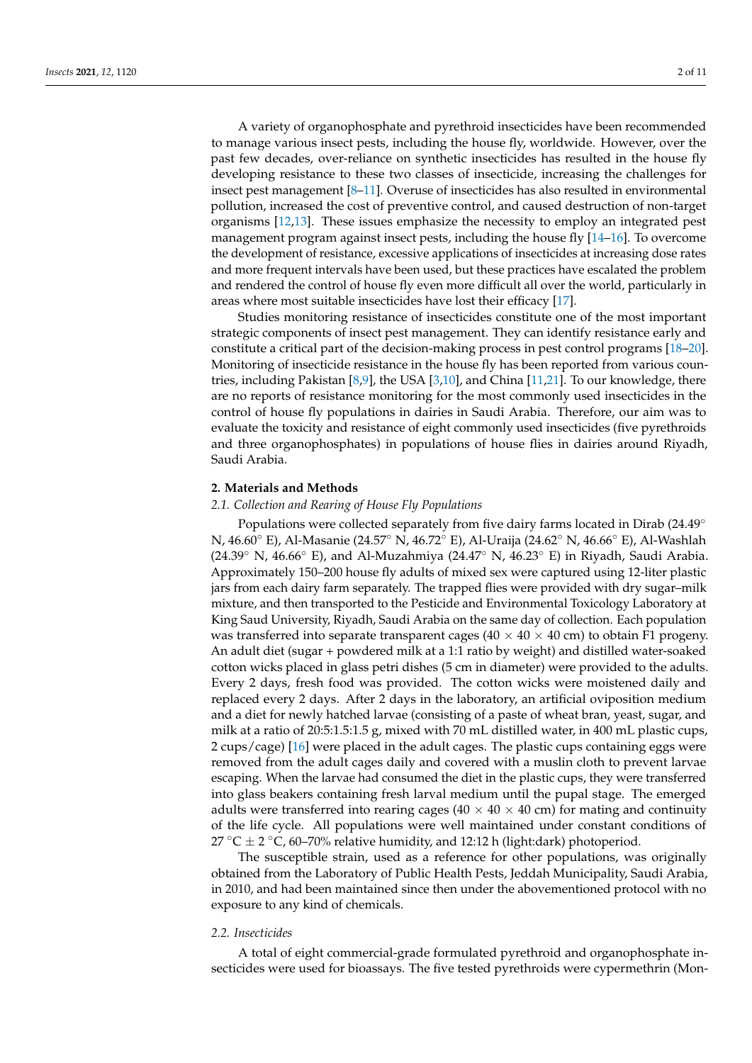A variety of organophosphate and pyrethroid insecticides have been recommended to manage various insect pests, including the house fly, worldwide. However, over the past few decades, over-reliance on synthetic insecticides has resulted in the house fly developing resistance to these two classes of insecticide, increasing the challenges for insect pest management [\[8–](#page-8-5)[11\]](#page-9-0). Overuse of insecticides has also resulted in environmental pollution, increased the cost of preventive control, and caused destruction of non-target organisms [\[12,](#page-9-1)[13\]](#page-9-2). These issues emphasize the necessity to employ an integrated pest management program against insect pests, including the house fly [\[14](#page-9-3)[–16\]](#page-9-4). To overcome the development of resistance, excessive applications of insecticides at increasing dose rates and more frequent intervals have been used, but these practices have escalated the problem and rendered the control of house fly even more difficult all over the world, particularly in areas where most suitable insecticides have lost their efficacy [\[17\]](#page-9-5).

Studies monitoring resistance of insecticides constitute one of the most important strategic components of insect pest management. They can identify resistance early and constitute a critical part of the decision-making process in pest control programs [\[18](#page-9-6)[–20\]](#page-9-7). Monitoring of insecticide resistance in the house fly has been reported from various countries, including Pakistan [\[8,](#page-8-5)[9\]](#page-8-6), the USA [\[3,](#page-8-7)[10\]](#page-9-8), and China [\[11,](#page-9-0)[21\]](#page-9-9). To our knowledge, there are no reports of resistance monitoring for the most commonly used insecticides in the control of house fly populations in dairies in Saudi Arabia. Therefore, our aim was to evaluate the toxicity and resistance of eight commonly used insecticides (five pyrethroids and three organophosphates) in populations of house flies in dairies around Riyadh, Saudi Arabia.

#### **2. Materials and Methods**

## *2.1. Collection and Rearing of House Fly Populations*

Populations were collected separately from five dairy farms located in Dirab (24.49◦ N, 46.60◦ E), Al-Masanie (24.57◦ N, 46.72◦ E), Al-Uraija (24.62◦ N, 46.66◦ E), Al-Washlah (24.39◦ N, 46.66◦ E), and Al-Muzahmiya (24.47◦ N, 46.23◦ E) in Riyadh, Saudi Arabia. Approximately 150–200 house fly adults of mixed sex were captured using 12-liter plastic jars from each dairy farm separately. The trapped flies were provided with dry sugar–milk mixture, and then transported to the Pesticide and Environmental Toxicology Laboratory at King Saud University, Riyadh, Saudi Arabia on the same day of collection. Each population was transferred into separate transparent cages ( $40 \times 40 \times 40$  cm) to obtain F1 progeny. An adult diet (sugar + powdered milk at a 1:1 ratio by weight) and distilled water-soaked cotton wicks placed in glass petri dishes (5 cm in diameter) were provided to the adults. Every 2 days, fresh food was provided. The cotton wicks were moistened daily and replaced every 2 days. After 2 days in the laboratory, an artificial oviposition medium and a diet for newly hatched larvae (consisting of a paste of wheat bran, yeast, sugar, and milk at a ratio of 20:5:1.5:1.5 g, mixed with 70 mL distilled water, in 400 mL plastic cups, 2 cups/cage) [\[16\]](#page-9-4) were placed in the adult cages. The plastic cups containing eggs were removed from the adult cages daily and covered with a muslin cloth to prevent larvae escaping. When the larvae had consumed the diet in the plastic cups, they were transferred into glass beakers containing fresh larval medium until the pupal stage. The emerged adults were transferred into rearing cages ( $40 \times 40 \times 40$  cm) for mating and continuity of the life cycle. All populations were well maintained under constant conditions of 27 °C  $\pm$  2 °C, 60–70% relative humidity, and 12:12 h (light:dark) photoperiod.

The susceptible strain, used as a reference for other populations, was originally obtained from the Laboratory of Public Health Pests, Jeddah Municipality, Saudi Arabia, in 2010, and had been maintained since then under the abovementioned protocol with no exposure to any kind of chemicals.

## *2.2. Insecticides*

A total of eight commercial-grade formulated pyrethroid and organophosphate insecticides were used for bioassays. The five tested pyrethroids were cypermethrin (Mon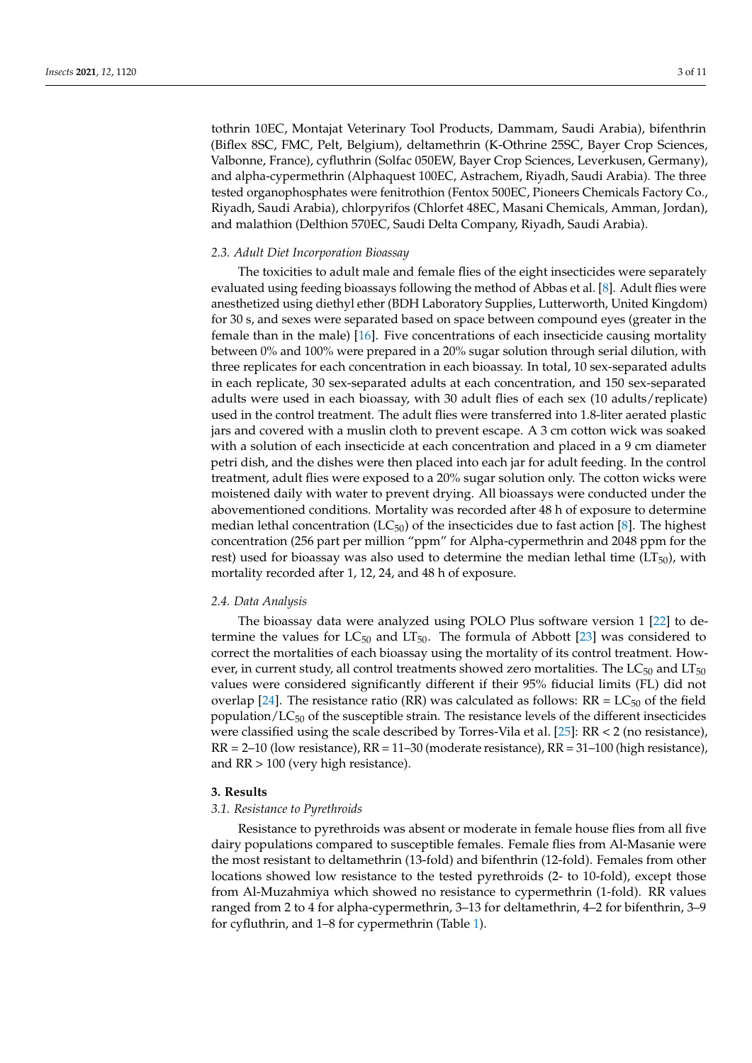tothrin 10EC, Montajat Veterinary Tool Products, Dammam, Saudi Arabia), bifenthrin (Biflex 8SC, FMC, Pelt, Belgium), deltamethrin (K-Othrine 25SC, Bayer Crop Sciences, Valbonne, France), cyfluthrin (Solfac 050EW, Bayer Crop Sciences, Leverkusen, Germany), and alpha-cypermethrin (Alphaquest 100EC, Astrachem, Riyadh, Saudi Arabia). The three tested organophosphates were fenitrothion (Fentox 500EC, Pioneers Chemicals Factory Co., Riyadh, Saudi Arabia), chlorpyrifos (Chlorfet 48EC, Masani Chemicals, Amman, Jordan), and malathion (Delthion 570EC, Saudi Delta Company, Riyadh, Saudi Arabia).

#### *2.3. Adult Diet Incorporation Bioassay*

The toxicities to adult male and female flies of the eight insecticides were separately evaluated using feeding bioassays following the method of Abbas et al. [\[8\]](#page-8-5). Adult flies were anesthetized using diethyl ether (BDH Laboratory Supplies, Lutterworth, United Kingdom) for 30 s, and sexes were separated based on space between compound eyes (greater in the female than in the male) [\[16\]](#page-9-4). Five concentrations of each insecticide causing mortality between 0% and 100% were prepared in a 20% sugar solution through serial dilution, with three replicates for each concentration in each bioassay. In total, 10 sex-separated adults in each replicate, 30 sex-separated adults at each concentration, and 150 sex-separated adults were used in each bioassay, with 30 adult flies of each sex (10 adults/replicate) used in the control treatment. The adult flies were transferred into 1.8-liter aerated plastic jars and covered with a muslin cloth to prevent escape. A 3 cm cotton wick was soaked with a solution of each insecticide at each concentration and placed in a 9 cm diameter petri dish, and the dishes were then placed into each jar for adult feeding. In the control treatment, adult flies were exposed to a 20% sugar solution only. The cotton wicks were moistened daily with water to prevent drying. All bioassays were conducted under the abovementioned conditions. Mortality was recorded after 48 h of exposure to determine median lethal concentration ( $LC_{50}$ ) of the insecticides due to fast action [\[8\]](#page-8-5). The highest concentration (256 part per million "ppm" for Alpha-cypermethrin and 2048 ppm for the rest) used for bioassay was also used to determine the median lethal time  $(LT_{50})$ , with mortality recorded after 1, 12, 24, and 48 h of exposure.

## *2.4. Data Analysis*

The bioassay data were analyzed using POLO Plus software version 1 [\[22\]](#page-9-10) to determine the values for  $LC_{50}$  and  $LT_{50}$ . The formula of Abbott [\[23\]](#page-9-11) was considered to correct the mortalities of each bioassay using the mortality of its control treatment. However, in current study, all control treatments showed zero mortalities. The  $LC_{50}$  and  $LT_{50}$ values were considered significantly different if their 95% fiducial limits (FL) did not overlap [\[24\]](#page-9-12). The resistance ratio (RR) was calculated as follows:  $RR = LC_{50}$  of the field population/ $LC_{50}$  of the susceptible strain. The resistance levels of the different insecticides were classified using the scale described by Torres-Vila et al. [\[25\]](#page-9-13):  $RR < 2$  (no resistance),  $RR = 2-10$  (low resistance),  $RR = 11-30$  (moderate resistance),  $RR = 31-100$  (high resistance), and RR > 100 (very high resistance).

#### **3. Results**

## *3.1. Resistance to Pyrethroids*

Resistance to pyrethroids was absent or moderate in female house flies from all five dairy populations compared to susceptible females. Female flies from Al-Masanie were the most resistant to deltamethrin (13-fold) and bifenthrin (12-fold). Females from other locations showed low resistance to the tested pyrethroids (2- to 10-fold), except those from Al-Muzahmiya which showed no resistance to cypermethrin (1-fold). RR values ranged from 2 to 4 for alpha-cypermethrin, 3–13 for deltamethrin, 4–2 for bifenthrin, 3–9 for cyfluthrin, and 1–8 for cypermethrin (Table [1\)](#page-3-0).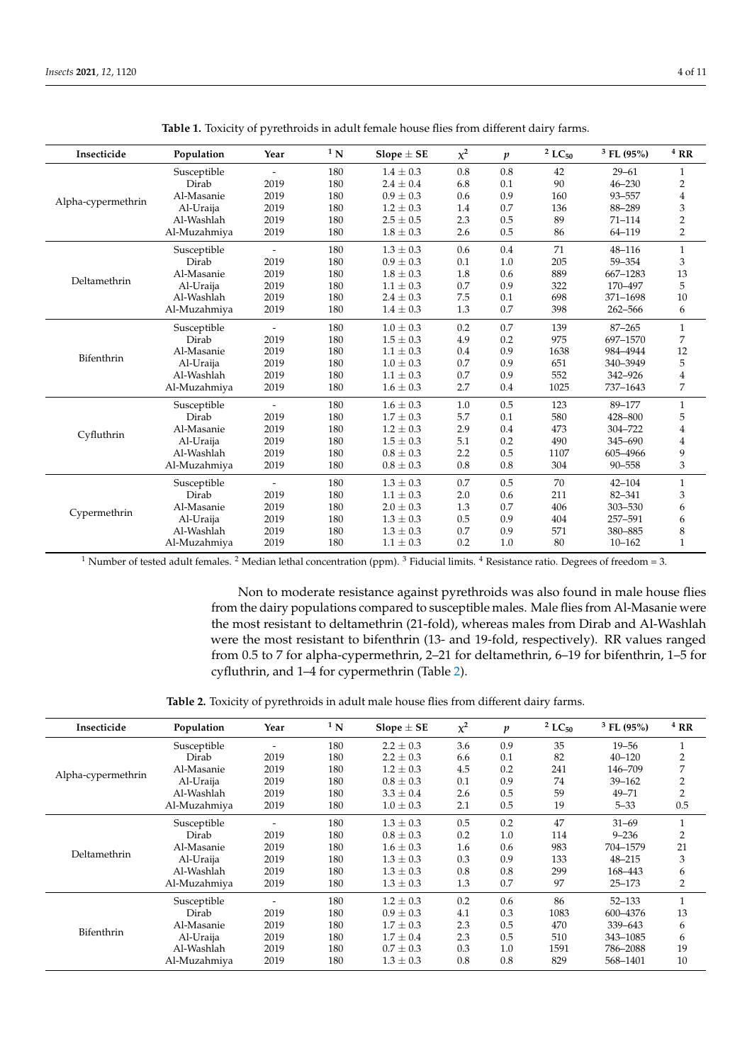<span id="page-3-0"></span>

| Insecticide        | Population                                                          | Year                     | $1\,$ N | Slope $\pm$ SE                                                                                                                                                                                                                                                                                                                                                                                           | $x^2$   | $\boldsymbol{p}$ | $2$ LC <sub>50</sub>     | $3$ FL (95%) | $4$ RR                    |
|--------------------|---------------------------------------------------------------------|--------------------------|---------|----------------------------------------------------------------------------------------------------------------------------------------------------------------------------------------------------------------------------------------------------------------------------------------------------------------------------------------------------------------------------------------------------------|---------|------------------|--------------------------|--------------|---------------------------|
|                    | Susceptible                                                         |                          | 180     | $1.4 \pm 0.3$                                                                                                                                                                                                                                                                                                                                                                                            | 0.8     | 0.8              | 42                       | $29 - 61$    | $\mathbf{1}$              |
|                    | Dirab                                                               | 2019                     | 180     | $2.4 \pm 0.4$                                                                                                                                                                                                                                                                                                                                                                                            | 6.8     | 0.1              | 90                       | $46 - 230$   | 2                         |
|                    | Al-Masanie                                                          | 2019                     | 180     | $0.9 \pm 0.3$                                                                                                                                                                                                                                                                                                                                                                                            | 0.6     | 0.9              | 160                      | 93-557       | 4                         |
| Alpha-cypermethrin | Al-Uraija                                                           | 2019                     | 180     | $1.2 \pm 0.3$                                                                                                                                                                                                                                                                                                                                                                                            | 1.4     | 0.7              | 136                      | 88-289       | $\ensuremath{\mathsf{3}}$ |
|                    | Al-Washlah                                                          | 2019                     | 180     | $2.5 \pm 0.5$                                                                                                                                                                                                                                                                                                                                                                                            | 2.3     | 0.5              | 89                       | $71 - 114$   | $\overline{2}$            |
|                    | Al-Muzahmiya                                                        | 2019                     | 180     | $1.8 \pm 0.3$                                                                                                                                                                                                                                                                                                                                                                                            | 2.6     | 0.5              | 86                       | 64-119       | $\overline{2}$            |
|                    | Susceptible                                                         | $\overline{\phantom{a}}$ | 180     | $1.3 \pm 0.3$                                                                                                                                                                                                                                                                                                                                                                                            | 0.6     | 0.4              | 71                       | 48-116       | $\mathbf{1}$              |
|                    | Dirab                                                               | 2019                     | 180     | $0.9 \pm 0.3$                                                                                                                                                                                                                                                                                                                                                                                            | 0.1     | 1.0              | 205                      | 59-354       | 3                         |
|                    | Al-Masanie                                                          | 2019                     | 180     | $1.8 \pm 0.3$                                                                                                                                                                                                                                                                                                                                                                                            | 1.8     | 0.6              | 889                      | 667-1283     | 13                        |
| Deltamethrin       | Al-Uraija                                                           | 2019                     | 180     | $1.1 \pm 0.3$                                                                                                                                                                                                                                                                                                                                                                                            | 0.7     | 0.9              | 322                      | 170-497      | 5                         |
|                    | Al-Washlah                                                          | 2019                     | 180     | $2.4 \pm 0.3$                                                                                                                                                                                                                                                                                                                                                                                            | 7.5     | 0.1              | 698                      | 371-1698     | 10                        |
|                    | Al-Muzahmiya                                                        | 2019                     | 180     | $1.4 \pm 0.3$                                                                                                                                                                                                                                                                                                                                                                                            | 1.3     | 0.7              | 398                      | 262-566      | 6                         |
|                    | Susceptible                                                         | $\overline{\phantom{a}}$ | 180     | $1.0 \pm 0.3$                                                                                                                                                                                                                                                                                                                                                                                            | 0.2     | 0.7              | 139                      | $87 - 265$   | $\mathbf{1}$              |
|                    | Dirab                                                               | 2019                     | 180     | $1.5 \pm 0.3$                                                                                                                                                                                                                                                                                                                                                                                            | 4.9     | 0.2              | 975                      | 697-1570     | 7                         |
|                    | Al-Masanie                                                          | 2019                     | 180     | $1.1 \pm 0.3$                                                                                                                                                                                                                                                                                                                                                                                            | 0.4     | 0.9              | 1638                     | 984-4944     | 12                        |
| Bifenthrin         | Al-Uraija                                                           | 2019                     | 180     | $1.0 \pm 0.3$                                                                                                                                                                                                                                                                                                                                                                                            | 0.7     | 0.9              | 651                      | 340-3949     | 5                         |
|                    | Al-Washlah                                                          | 2019                     | 180     | $1.1 \pm 0.3$                                                                                                                                                                                                                                                                                                                                                                                            | 0.7     | 0.9              | 552                      | 342-926      | $\overline{4}$            |
|                    | Al-Muzahmiya                                                        | 2019                     | 180     | $1.6 \pm 0.3$                                                                                                                                                                                                                                                                                                                                                                                            | 2.7     | 0.4              | 1025                     | 737-1643     | 7                         |
|                    | Susceptible                                                         | $\overline{\phantom{a}}$ | 180     | $1.6 \pm 0.3$                                                                                                                                                                                                                                                                                                                                                                                            | 1.0     | 0.5              | 123<br>580<br>473<br>490 | 89-177       | $\mathbf{1}$              |
|                    | Dirab                                                               | 2019                     | 180     | 5.7<br>$1.7 \pm 0.3$<br>0.1<br>2.9<br>$1.2 \pm 0.3$<br>0.4<br>5.1<br>0.2<br>$1.5 \pm 0.3$<br>2.2<br>0.5<br>1107<br>$0.8 \pm 0.3$<br>0.8<br>$0.8 \pm 0.3$<br>0.8<br>304<br>$1.3 \pm 0.3$<br>0.7<br>0.5<br>70<br>$1.1 \pm 0.3$<br>2.0<br>0.6<br>211<br>$2.0 \pm 0.3$<br>1.3<br>0.7<br>406<br>0.5<br>$1.3 \pm 0.3$<br>0.9<br>404<br>0.7<br>0.9<br>$1.3 \pm 0.3$<br>571<br>0.2<br>1.0<br>$1.1 \pm 0.3$<br>80 | 428-800 | 5                |                          |              |                           |
|                    | Al-Masanie<br>2019<br>180<br>Cyfluthrin<br>2019<br>180<br>Al-Uraija |                          |         |                                                                                                                                                                                                                                                                                                                                                                                                          |         | 304-722          | 4                        |              |                           |
|                    |                                                                     |                          |         |                                                                                                                                                                                                                                                                                                                                                                                                          |         |                  |                          | 345-690      | $\overline{4}$            |
|                    | Al-Washlah                                                          | 2019                     | 180     |                                                                                                                                                                                                                                                                                                                                                                                                          |         |                  |                          | 605-4966     | 9                         |
|                    | Al-Muzahmiya                                                        | 2019                     | 180     |                                                                                                                                                                                                                                                                                                                                                                                                          |         |                  |                          | 90-558       | 3                         |
|                    | Susceptible                                                         | $\overline{\phantom{a}}$ | 180     |                                                                                                                                                                                                                                                                                                                                                                                                          |         |                  |                          | $42 - 104$   | $\mathbf{1}$              |
|                    | Dirab                                                               | 2019                     | 180     |                                                                                                                                                                                                                                                                                                                                                                                                          |         |                  |                          | 82-341       | 3                         |
|                    | Al-Masanie                                                          | 2019                     | 180     |                                                                                                                                                                                                                                                                                                                                                                                                          |         |                  |                          | 303-530      | 6                         |
| Cypermethrin       | Al-Uraija                                                           | 2019                     | 180     |                                                                                                                                                                                                                                                                                                                                                                                                          |         |                  |                          | 257-591      | 6                         |
|                    | Al-Washlah                                                          | 2019                     | 180     |                                                                                                                                                                                                                                                                                                                                                                                                          |         |                  |                          | 380-885      | $\,8\,$                   |
|                    | Al-Muzahmiya                                                        | 2019                     | 180     |                                                                                                                                                                                                                                                                                                                                                                                                          |         |                  |                          | $10 - 162$   | $\mathbf{1}$              |

**Table 1.** Toxicity of pyrethroids in adult female house flies from different dairy farms.

<sup>1</sup> Number of tested adult females. <sup>2</sup> Median lethal concentration (ppm). <sup>3</sup> Fiducial limits. <sup>4</sup> Resistance ratio. Degrees of freedom = 3.

Non to moderate resistance against pyrethroids was also found in male house flies from the dairy populations compared to susceptible males. Male flies from Al-Masanie were the most resistant to deltamethrin (21-fold), whereas males from Dirab and Al-Washlah were the most resistant to bifenthrin (13- and 19-fold, respectively). RR values ranged from 0.5 to 7 for alpha-cypermethrin, 2–21 for deltamethrin, 6–19 for bifenthrin, 1–5 for cyfluthrin, and 1–4 for cypermethrin (Table [2\)](#page-4-0).

**Table 2.** Toxicity of pyrethroids in adult male house flies from different dairy farms.

| Insecticide        | Population   | Year                     | $1\,$ N | Slope $\pm$ SE | $\chi^2$ | $\boldsymbol{p}$ | $2$ LC <sub>50</sub> | $3$ FL (95%) | $4$ RR         |
|--------------------|--------------|--------------------------|---------|----------------|----------|------------------|----------------------|--------------|----------------|
|                    | Susceptible  | $\overline{\phantom{0}}$ | 180     | $2.2 \pm 0.3$  | 3.6      | 0.9              | 35                   | $19 - 56$    |                |
|                    | Dirab        | 2019                     | 180     | $2.2 \pm 0.3$  | 6.6      | 0.1              | 82                   | $40 - 120$   | $\overline{2}$ |
|                    | Al-Masanie   | 2019                     | 180     | $1.2 \pm 0.3$  | 4.5      | 0.2              | 241                  | 146-709      | 7              |
| Alpha-cypermethrin | Al-Uraija    | 2019                     | 180     | $0.8 \pm 0.3$  | 0.1      | 0.9              | 74                   | $39 - 162$   | $\overline{2}$ |
|                    | Al-Washlah   | 2019                     | 180     | $3.3 \pm 0.4$  | 2.6      | 0.5              | 59                   | $49 - 71$    | $\overline{2}$ |
|                    | Al-Muzahmiya | 2019                     | 180     | $1.0 \pm 0.3$  | 2.1      | 0.5              | 19                   | $5 - 33$     | 0.5            |
|                    | Susceptible  |                          | 180     | $1.3 \pm 0.3$  | 0.5      | 0.2              | 47                   | $31 - 69$    |                |
|                    | Dirab        | 2019                     | 180     | $0.8 \pm 0.3$  | 0.2      | 1.0              | 114                  | $9 - 236$    | $\overline{2}$ |
|                    | Al-Masanie   | 2019                     | 180     | $1.6 \pm 0.3$  | 1.6      | 0.6              | 983                  | 704-1579     | 21             |
| Deltamethrin       | Al-Uraija    | 2019                     | 180     | $1.3 \pm 0.3$  | 0.3      | 0.9              | 133                  | $48 - 215$   | 3              |
|                    | Al-Washlah   | 2019                     | 180     | $1.3 \pm 0.3$  | 0.8      | 0.8              | 299                  | 168-443      | 6              |
|                    | Al-Muzahmiya | 2019                     | 180     | $1.3 \pm 0.3$  | 1.3      | 0.7              | 97                   | $25 - 173$   | $\overline{2}$ |
|                    | Susceptible  |                          | 180     | $1.2 \pm 0.3$  | 0.2      | 0.6              | 86                   | $52 - 133$   | 1              |
|                    | Dirab        | 2019                     | 180     | $0.9 \pm 0.3$  | 4.1      | 0.3              | 1083                 | 600-4376     | 13             |
|                    | Al-Masanie   | 2019                     | 180     | $1.7 \pm 0.3$  | 2.3      | 0.5              | 470                  | 339-643      | 6              |
| Bifenthrin         | Al-Uraija    | 2019                     | 180     | $1.7 \pm 0.4$  | 2.3      | 0.5              | 510                  | 343-1085     | 6              |
|                    | Al-Washlah   | 2019                     | 180     | $0.7 \pm 0.3$  | 0.3      | 1.0              | 1591                 | 786-2088     | 19             |
|                    | Al-Muzahmiya | 2019                     | 180     | $1.3 \pm 0.3$  | 0.8      | 0.8              | 829                  | 568-1401     | 10             |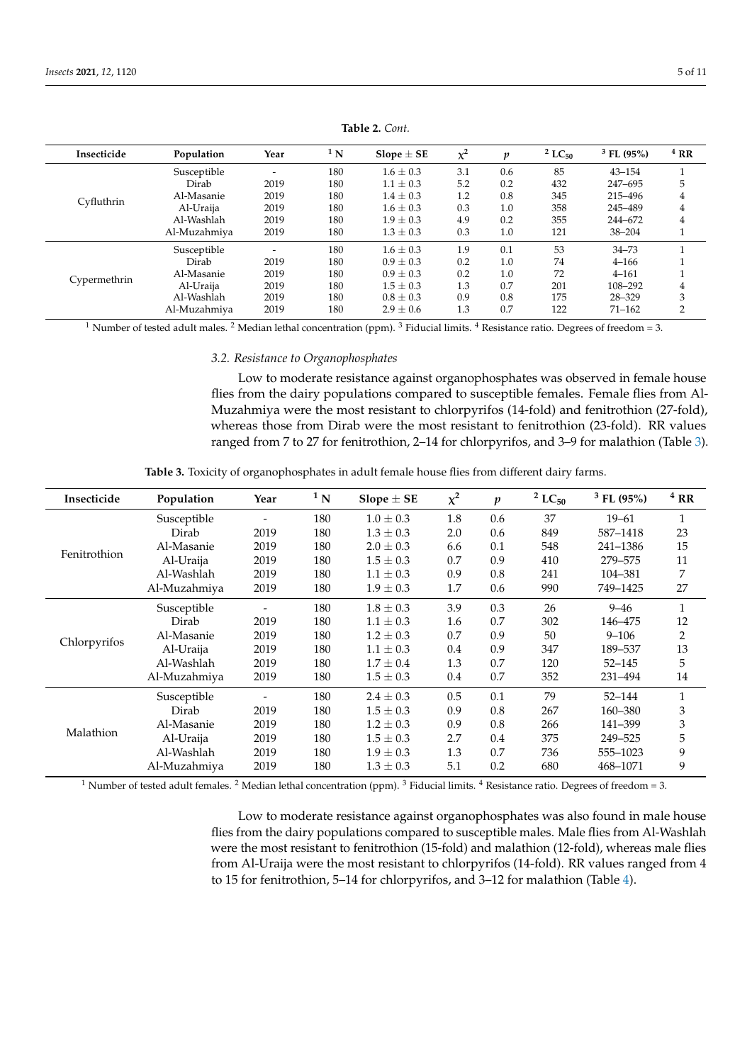<span id="page-4-0"></span>

| Insecticide  | Population   | Year | $1\,$ N | Slope $\pm$ SE | $x^2$ | p   | $2 LC_{50}$ | $3$ FL (95%) | $4$ RR         |
|--------------|--------------|------|---------|----------------|-------|-----|-------------|--------------|----------------|
|              | Susceptible  |      | 180     | $1.6 \pm 0.3$  | 3.1   | 0.6 | 85          | $43 - 154$   |                |
|              | Dirab        | 2019 | 180     | $1.1 \pm 0.3$  | 5.2   | 0.2 | 432         | 247-695      | 5              |
|              | Al-Masanie   | 2019 | 180     | $1.4 \pm 0.3$  | 1.2   | 0.8 | 345         | 215–496      | 4              |
| Cyfluthrin   | Al-Uraija    | 2019 | 180     | $1.6 \pm 0.3$  | 0.3   | 1.0 | 358         | 245-489      | 4              |
|              | Al-Washlah   | 2019 | 180     | $1.9 \pm 0.3$  | 4.9   | 0.2 | 355         | 244-672      | 4              |
|              | Al-Muzahmiya | 2019 | 180     | $1.3 \pm 0.3$  | 0.3   | 1.0 | 121         | $38 - 204$   |                |
|              | Susceptible  |      | 180     | $1.6 \pm 0.3$  | 1.9   | 0.1 | 53          | $34 - 73$    |                |
|              | Dirab        | 2019 | 180     | $0.9 \pm 0.3$  | 0.2   | 1.0 | 74          | $4 - 166$    |                |
|              | Al-Masanie   | 2019 | 180     | $0.9 \pm 0.3$  | 0.2   | 1.0 | 72          | $4 - 161$    |                |
| Cypermethrin | Al-Uraija    | 2019 | 180     | $1.5 \pm 0.3$  | 1.3   | 0.7 | 201         | 108-292      | 4              |
|              | Al-Washlah   | 2019 | 180     | $0.8 \pm 0.3$  | 0.9   | 0.8 | 175         | 28-329       | 3              |
|              | Al-Muzahmiya | 2019 | 180     | $2.9 \pm 0.6$  | 1.3   | 0.7 | 122         | $71 - 162$   | $\overline{2}$ |

**Table 2.** *Cont.*

<sup>1</sup> Number of tested adult males. <sup>2</sup> Median lethal concentration (ppm). <sup>3</sup> Fiducial limits. <sup>4</sup> Resistance ratio. Degrees of freedom = 3.

*3.2. Resistance to Organophosphates*

Low to moderate resistance against organophosphates was observed in female house flies from the dairy populations compared to susceptible females. Female flies from Al-Muzahmiya were the most resistant to chlorpyrifos (14-fold) and fenitrothion (27-fold), whereas those from Dirab were the most resistant to fenitrothion (23-fold). RR values ranged from 7 to 27 for fenitrothion, 2–14 for chlorpyrifos, and 3–9 for malathion (Table [3\)](#page-4-1).

| <b>Table 3.</b> Toxicity of organophosphates in adult female house flies from different dairy farms. |
|------------------------------------------------------------------------------------------------------|
|------------------------------------------------------------------------------------------------------|

<span id="page-4-1"></span>

| Insecticide  | Population   | Year | $1\,$ N | Slope $\pm$ SE | $x^2$ | $\boldsymbol{p}$ | $2$ LC <sub>50</sub> | $3$ FL (95%) | $4$ RR         |
|--------------|--------------|------|---------|----------------|-------|------------------|----------------------|--------------|----------------|
|              | Susceptible  |      | 180     | $1.0 \pm 0.3$  | 1.8   | 0.6              | 37                   | $19 - 61$    | 1              |
| Fenitrothion | Dirab        | 2019 | 180     | $1.3 \pm 0.3$  | 2.0   | 0.6              | 849                  | 587-1418     | 23             |
|              | Al-Masanie   | 2019 | 180     | $2.0 \pm 0.3$  | 6.6   | 0.1              | 548                  | 241-1386     | 15             |
|              | Al-Uraija    | 2019 | 180     | $1.5 \pm 0.3$  | 0.7   | 0.9              | 410                  | 279-575      | 11             |
|              | Al-Washlah   | 2019 | 180     | $1.1 \pm 0.3$  | 0.9   | 0.8              | 241                  | 104-381      | 7              |
|              | Al-Muzahmiya | 2019 | 180     | $1.9 \pm 0.3$  | 1.7   | 0.6              | 990                  | 749-1425     | 27             |
|              | Susceptible  |      | 180     | $1.8 \pm 0.3$  | 3.9   | 0.3              | 26                   | $9 - 46$     | $\mathbf{1}$   |
|              | Dirab        | 2019 | 180     | $1.1 \pm 0.3$  | 1.6   | 0.7              | 302                  | 146-475      | 12             |
| Chlorpyrifos | Al-Masanie   | 2019 | 180     | $1.2 \pm 0.3$  | 0.7   | 0.9              | 50                   | $9 - 106$    | $\overline{2}$ |
|              | Al-Uraija    | 2019 | 180     | $1.1 \pm 0.3$  | 0.4   | 0.9              | 347                  | 189-537      | 13             |
|              | Al-Washlah   | 2019 | 180     | $1.7 \pm 0.4$  | 1.3   | 0.7              | 120                  | $52 - 145$   | 5              |
|              | Al-Muzahmiya | 2019 | 180     | $1.5 \pm 0.3$  | 0.4   | 0.7              | 352                  | 231-494      | 14             |
|              | Susceptible  |      | 180     | $2.4 \pm 0.3$  | 0.5   | 0.1              | 79                   | $52 - 144$   | 1              |
|              | Dirab        | 2019 | 180     | $1.5 \pm 0.3$  | 0.9   | 0.8              | 267                  | 160-380      | 3              |
|              | Al-Masanie   | 2019 | 180     | $1.2 \pm 0.3$  | 0.9   | 0.8              | 266                  | 141-399      | 3              |
| Malathion    | Al-Uraija    | 2019 | 180     | $1.5 \pm 0.3$  | 2.7   | $0.4\,$          | 375                  | 249-525      | 5              |
|              | Al-Washlah   | 2019 | 180     | $1.9 \pm 0.3$  | 1.3   | 0.7              | 736                  | 555-1023     | 9              |
|              | Al-Muzahmiya | 2019 | 180     | $1.3 \pm 0.3$  | 5.1   | 0.2              | 680                  | 468-1071     | 9              |

<sup>1</sup> Number of tested adult females. <sup>2</sup> Median lethal concentration (ppm). <sup>3</sup> Fiducial limits. <sup>4</sup> Resistance ratio. Degrees of freedom = 3.

Low to moderate resistance against organophosphates was also found in male house flies from the dairy populations compared to susceptible males. Male flies from Al-Washlah were the most resistant to fenitrothion (15-fold) and malathion (12-fold), whereas male flies from Al-Uraija were the most resistant to chlorpyrifos (14-fold). RR values ranged from 4 to 15 for fenitrothion, 5–14 for chlorpyrifos, and 3–12 for malathion (Table [4\)](#page-5-0).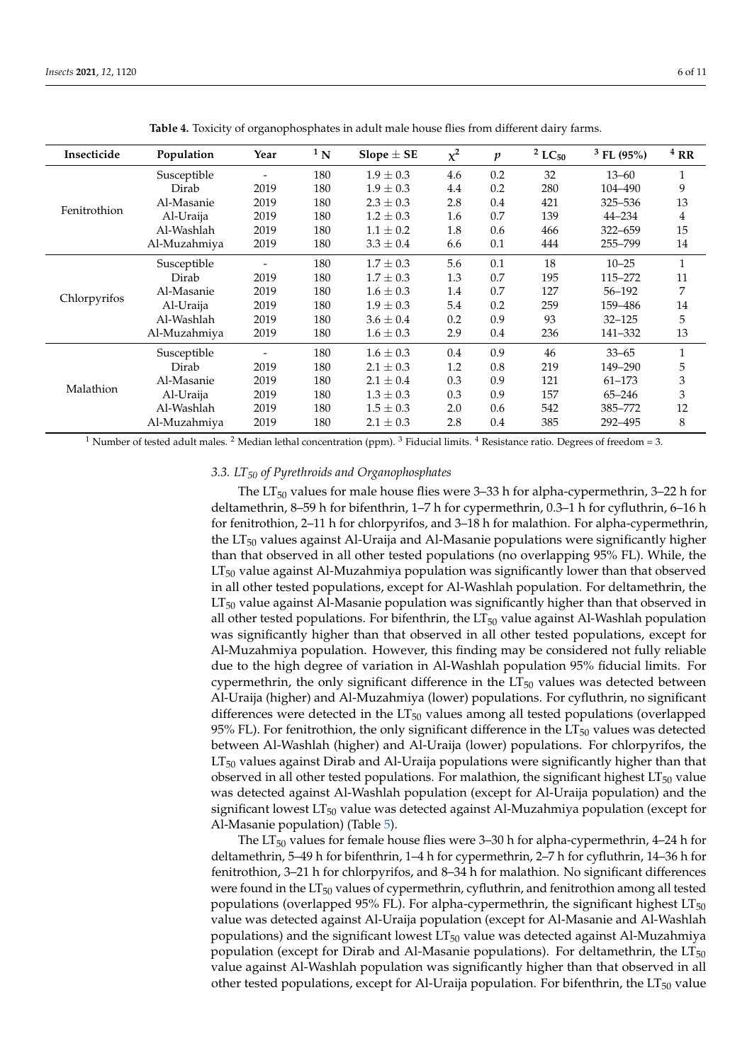<span id="page-5-0"></span>

| Insecticide  | Population   | Year           | $1\,\mathrm{N}$ | Slope $\pm$ SE | $\chi^2$ | $\boldsymbol{p}$ | $2$ LC <sub>50</sub> | $3$ FL (95%) | $4$ RR         |
|--------------|--------------|----------------|-----------------|----------------|----------|------------------|----------------------|--------------|----------------|
|              | Susceptible  | $\overline{a}$ | 180             | $1.9 \pm 0.3$  | 4.6      | 0.2              | 32                   | $13 - 60$    | 1              |
| Fenitrothion | Dirab        | 2019           | 180             | $1.9 \pm 0.3$  | 4.4      | 0.2              | 280                  | 104-490      | 9              |
|              | Al-Masanie   | 2019           | 180             | $2.3 \pm 0.3$  | 2.8      | 0.4              | 421                  | 325-536      | 13             |
|              | Al-Uraija    | 2019           | 180             | $1.2 \pm 0.3$  | 1.6      | 0.7              | 139                  | 44–234       | 4              |
|              | Al-Washlah   | 2019           | 180             | $1.1 \pm 0.2$  | 1.8      | 0.6              | 466                  | 322-659      | 15             |
|              | Al-Muzahmiya | 2019           | 180             | $3.3 \pm 0.4$  | 6.6      | 0.1              | 444                  | 255-799      | 14             |
|              | Susceptible  |                | 180             | $1.7 \pm 0.3$  | 5.6      | 0.1              | 18                   | $10 - 25$    | 1              |
|              | Dirab        | 2019           | 180             | $1.7 \pm 0.3$  | 1.3      | 0.7              | 195                  | 115-272      | 11             |
| Chlorpyrifos | Al-Masanie   | 2019           | 180             | $1.6 \pm 0.3$  | 1.4      | 0.7              | 127                  | 56-192       | 7              |
|              | Al-Uraija    | 2019           | 180             | $1.9 \pm 0.3$  | 5.4      | 0.2              | 259                  | 159-486      | 14             |
|              | Al-Washlah   | 2019           | 180             | $3.6 \pm 0.4$  | 0.2      | 0.9              | 93                   | $32 - 125$   | 5              |
|              | Al-Muzahmiya | 2019           | 180             | $1.6 \pm 0.3$  | 2.9      | $0.4\,$          | 236                  | 141-332      | 13             |
|              | Susceptible  |                | 180             | $1.6 \pm 0.3$  | 0.4      | 0.9              | 46                   | $33 - 65$    | 1              |
|              | Dirab        | 2019           | 180             | $2.1 \pm 0.3$  | 1.2      | 0.8              | 219                  | 149–290      | 5              |
|              | Al-Masanie   | 2019           | 180             | $2.1 \pm 0.4$  | 0.3      | 0.9              | 121                  | $61 - 173$   | 3              |
| Malathion    | Al-Uraija    | 2019           | 180             | $1.3 \pm 0.3$  | 0.3      | 0.9              | 157                  | $65 - 246$   | $\mathfrak{Z}$ |
|              | Al-Washlah   | 2019           | 180             | $1.5 \pm 0.3$  | 2.0      | 0.6              | 542                  | 385–772      | 12             |
|              | Al-Muzahmiya | 2019           | 180             | $2.1 \pm 0.3$  | 2.8      | 0.4              | 385                  | 292-495      | 8              |

**Table 4.** Toxicity of organophosphates in adult male house flies from different dairy farms.

<sup>1</sup> Number of tested adult males. <sup>2</sup> Median lethal concentration (ppm). <sup>3</sup> Fiducial limits. <sup>4</sup> Resistance ratio. Degrees of freedom = 3.

#### *3.3. LT<sup>50</sup> of Pyrethroids and Organophosphates*

The  $LT_{50}$  values for male house flies were 3–33 h for alpha-cypermethrin, 3–22 h for deltamethrin, 8–59 h for bifenthrin, 1–7 h for cypermethrin, 0.3–1 h for cyfluthrin, 6–16 h for fenitrothion, 2–11 h for chlorpyrifos, and 3–18 h for malathion. For alpha-cypermethrin, the  $LT_{50}$  values against Al-Uraija and Al-Masanie populations were significantly higher than that observed in all other tested populations (no overlapping 95% FL). While, the  $LT_{50}$  value against Al-Muzahmiya population was significantly lower than that observed in all other tested populations, except for Al-Washlah population. For deltamethrin, the  $LT_{50}$  value against Al-Masanie population was significantly higher than that observed in all other tested populations. For bifenthrin, the  $LT_{50}$  value against Al-Washlah population was significantly higher than that observed in all other tested populations, except for Al-Muzahmiya population. However, this finding may be considered not fully reliable due to the high degree of variation in Al-Washlah population 95% fiducial limits. For cypermethrin, the only significant difference in the  $LT_{50}$  values was detected between Al-Uraija (higher) and Al-Muzahmiya (lower) populations. For cyfluthrin, no significant differences were detected in the  $LT_{50}$  values among all tested populations (overlapped 95% FL). For fenitrothion, the only significant difference in the  $LT_{50}$  values was detected between Al-Washlah (higher) and Al-Uraija (lower) populations. For chlorpyrifos, the LT<sub>50</sub> values against Dirab and Al-Uraija populations were significantly higher than that observed in all other tested populations. For malathion, the significant highest  $LT_{50}$  value was detected against Al-Washlah population (except for Al-Uraija population) and the significant lowest  $LT_{50}$  value was detected against Al-Muzahmiya population (except for Al-Masanie population) (Table [5\)](#page-6-0).

The  $LT_{50}$  values for female house flies were 3–30 h for alpha-cypermethrin, 4–24 h for deltamethrin, 5–49 h for bifenthrin, 1–4 h for cypermethrin, 2–7 h for cyfluthrin, 14–36 h for fenitrothion, 3–21 h for chlorpyrifos, and 8–34 h for malathion. No significant differences were found in the  $LT_{50}$  values of cypermethrin, cyfluthrin, and fenitrothion among all tested populations (overlapped 95% FL). For alpha-cypermethrin, the significant highest  $LT_{50}$ value was detected against Al-Uraija population (except for Al-Masanie and Al-Washlah populations) and the significant lowest  $LT_{50}$  value was detected against Al-Muzahmiya population (except for Dirab and Al-Masanie populations). For deltamethrin, the  $LT_{50}$ value against Al-Washlah population was significantly higher than that observed in all other tested populations, except for Al-Uraija population. For bifenthrin, the  $LT_{50}$  value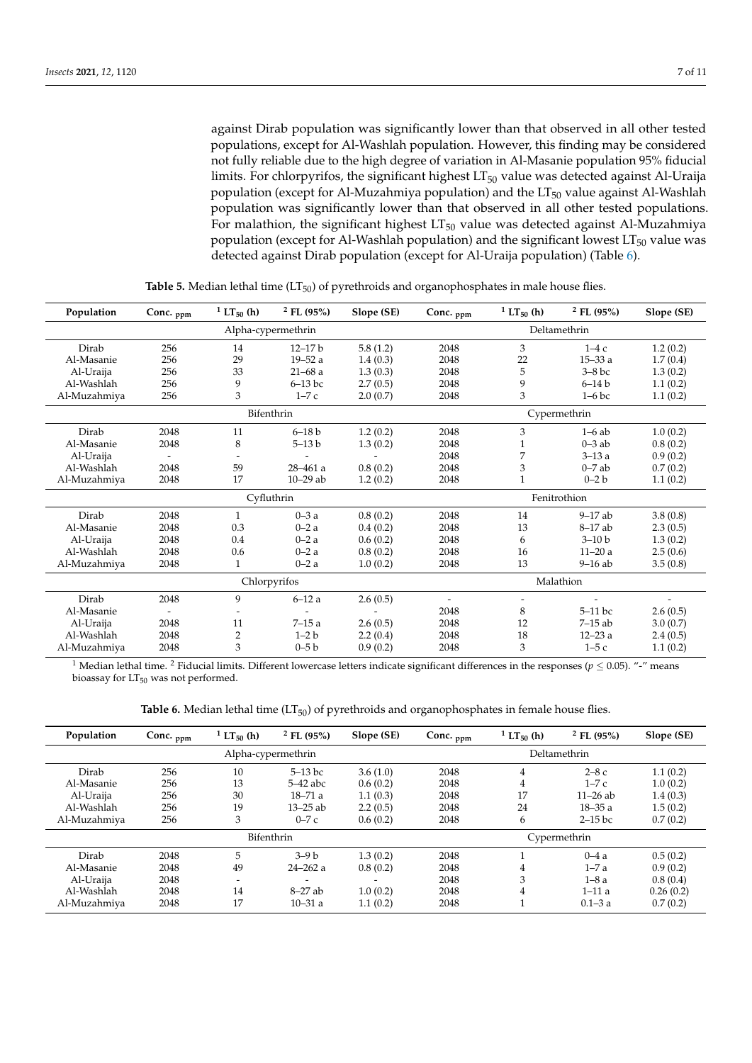against Dirab population was significantly lower than that observed in all other tested populations, except for Al-Washlah population. However, this finding may be considered not fully reliable due to the high degree of variation in Al-Masanie population 95% fiducial limits. For chlorpyrifos, the significant highest  $LT_{50}$  value was detected against Al-Uraija population (except for Al-Muzahmiya population) and the  $LT_{50}$  value against Al-Washlah population was significantly lower than that observed in all other tested populations. For malathion, the significant highest  $LT_{50}$  value was detected against Al-Muzahmiya population (except for Al-Washlah population) and the significant lowest  $LT_{50}$  value was detected against Dirab population (except for Al-Uraija population) (Table [6\)](#page-7-0).

<span id="page-6-0"></span>

| Population   | Conc. ppm | <sup>1</sup> LT <sub>50</sub> (h) | $2$ FL (95%)       | Slope (SE) | Conc. $_{\text{ppm}}$    | <sup>1</sup> LT <sub>50</sub> (h) | $2$ FL (95%) | Slope (SE) |  |  |
|--------------|-----------|-----------------------------------|--------------------|------------|--------------------------|-----------------------------------|--------------|------------|--|--|
|              |           |                                   | Alpha-cypermethrin |            |                          |                                   | Deltamethrin |            |  |  |
| Dirab        | 256       | 14                                | $12 - 17 b$        | 5.8(1.2)   | 2048                     | 3                                 | $1-4c$       | 1.2(0.2)   |  |  |
| Al-Masanie   | 256       | 29                                | $19 - 52a$         | 1.4(0.3)   | 2048                     | 22                                | $15 - 33a$   | 1.7(0.4)   |  |  |
| Al-Uraija    | 256       | 33                                | $21 - 68$ a        | 1.3(0.3)   | 2048                     | 5                                 | $3-8$ bc     | 1.3(0.2)   |  |  |
| Al-Washlah   | 256       | 9                                 | $6-13$ bc          | 2.7(0.5)   | 2048                     | 9                                 | $6-14b$      | 1.1(0.2)   |  |  |
| Al-Muzahmiya | 256       | 3                                 | $1-7c$             | 2.0(0.7)   | 2048                     | 3                                 | $1-6$ bc     | 1.1(0.2)   |  |  |
|              |           |                                   | Bifenthrin         |            |                          |                                   | Cypermethrin |            |  |  |
| Dirab        | 2048      | 11                                | $6 - 18 b$         | 1.2(0.2)   | 2048                     | 3                                 | $1-6$ ab     | 1.0(0.2)   |  |  |
| Al-Masanie   | 2048      | 8                                 | $5 - 13 b$         | 1.3(0.2)   | 2048                     |                                   | $0 - 3$ ab   | 0.8(0.2)   |  |  |
| Al-Uraija    |           |                                   |                    |            | 2048                     | 7                                 | $3 - 13a$    | 0.9(0.2)   |  |  |
| Al-Washlah   | 2048      | 59                                | $28 - 461$ a       | 0.8(0.2)   | 2048                     | 3                                 | $0 - 7$ ab   | 0.7(0.2)   |  |  |
| Al-Muzahmiya | 2048      | 17                                | $10 - 29$ ab       | 1.2(0.2)   | 2048                     | $\mathbf{1}$                      | $0-2 b$      | 1.1(0.2)   |  |  |
|              |           |                                   | Cyfluthrin         |            |                          | Fenitrothion                      |              |            |  |  |
| Dirab        | 2048      |                                   | $0 - 3a$           | 0.8(0.2)   | 2048                     | 14                                | $9-17$ ab    | 3.8(0.8)   |  |  |
| Al-Masanie   | 2048      | 0.3                               | $0 - 2a$           | 0.4(0.2)   | 2048                     | 13                                | $8-17$ ab    | 2.3(0.5)   |  |  |
| Al-Uraija    | 2048      | 0.4                               | $0 - 2a$           | 0.6(0.2)   | 2048                     | 6                                 | $3-10 b$     | 1.3(0.2)   |  |  |
| Al-Washlah   | 2048      | 0.6                               | $0 - 2a$           | 0.8(0.2)   | 2048                     | 16                                | $11 - 20a$   | 2.5(0.6)   |  |  |
| Al-Muzahmiya | 2048      |                                   | $0 - 2a$           | 1.0(0.2)   | 2048                     | 13                                | $9-16$ ab    | 3.5(0.8)   |  |  |
|              |           |                                   | Chlorpyrifos       |            |                          |                                   | Malathion    |            |  |  |
| Dirab        | 2048      | 9                                 | $6 - 12a$          | 2.6(0.5)   | $\overline{\phantom{a}}$ |                                   |              |            |  |  |
| Al-Masanie   |           |                                   |                    |            | 2048                     | 8                                 | $5-11$ bc    | 2.6(0.5)   |  |  |
| Al-Uraija    | 2048      | 11                                | $7 - 15a$          | 2.6(0.5)   | 2048                     | 12                                | $7-15$ ab    | 3.0(0.7)   |  |  |
| Al-Washlah   | 2048      | 2                                 | $1-2 b$            | 2.2(0.4)   | 2048                     | 18                                | $12 - 23a$   | 2.4(0.5)   |  |  |
| Al-Muzahmiya | 2048      | 3                                 | $0 - 5 b$          | 0.9(0.2)   | 2048                     | 3                                 | $1-5c$       | 1.1(0.2)   |  |  |

**Table 5.** Median lethal time  $(LT_{50})$  of pyrethroids and organophosphates in male house flies.

<sup>1</sup> Median lethal time. <sup>2</sup> Fiducial limits. Different lowercase letters indicate significant differences in the responses ( $p \le 0.05$ ). "-" means bioassay for LT<sub>50</sub> was not performed.

| Table 6. Median lethal time $(LT_{50})$ of pyrethroids and organophosphates in female house flies. |  |  |  |
|----------------------------------------------------------------------------------------------------|--|--|--|
|----------------------------------------------------------------------------------------------------|--|--|--|

| Population   | Conc. $_{\text{ppm}}$ | <sup>1</sup> LT <sub>50</sub> (h) | $2$ FL (95%)             | Slope (SE) | Conc. <sub>ppm</sub> | <sup>1</sup> LT <sub>50</sub> (h) | $2$ FL (95%) | Slope (SE) |  |  |  |
|--------------|-----------------------|-----------------------------------|--------------------------|------------|----------------------|-----------------------------------|--------------|------------|--|--|--|
|              |                       |                                   | Alpha-cypermethrin       |            |                      | Deltamethrin                      |              |            |  |  |  |
| Dirab        | 256                   | 10                                | $5-13$ bc                | 3.6(1.0)   | 2048                 | $\overline{4}$                    | $2-8c$       | 1.1(0.2)   |  |  |  |
| Al-Masanie   | 256                   | 13                                | $5-42$ abc               | 0.6(0.2)   | 2048                 | 4                                 | $1-7c$       | 1.0(0.2)   |  |  |  |
| Al-Uraija    | 256                   | 30                                | $18 - 71a$               | 1.1(0.3)   | 2048                 | 17                                | $11 - 26$ ab | 1.4(0.3)   |  |  |  |
| Al-Washlah   | 256                   | 19                                | $13 - 25$ ab             | 2.2(0.5)   | 2048                 | 24                                | $18 - 35a$   | 1.5(0.2)   |  |  |  |
| Al-Muzahmiya | 256                   | 3                                 | $0-7c$                   | 0.6(0.2)   | 2048                 | 6                                 | $2-15$ bc    | 0.7(0.2)   |  |  |  |
|              |                       | Bifenthrin                        |                          |            | Cypermethrin         |                                   |              |            |  |  |  |
| Dirab        | 2048                  | 5                                 | $3-9b$                   | 1.3(0.2)   | 2048                 |                                   | $0-4a$       | 0.5(0.2)   |  |  |  |
| Al-Masanie   | 2048                  | 49                                | $24 - 262a$              | 0.8(0.2)   | 2048                 | 4                                 | $1 - 7a$     | 0.9(0.2)   |  |  |  |
| Al-Uraija    | 2048                  | -                                 | $\overline{\phantom{a}}$ |            | 2048                 | 3                                 | $1-8a$       | 0.8(0.4)   |  |  |  |
| Al-Washlah   | 2048                  | 14                                | $8-27$ ab                | 1.0(0.2)   | 2048                 | 4                                 | $1 - 11a$    | 0.26(0.2)  |  |  |  |
| Al-Muzahmiya | 2048                  | 17                                | $10 - 31a$               | 1.1(0.2)   | 2048                 |                                   | $0.1 - 3a$   | 0.7(0.2)   |  |  |  |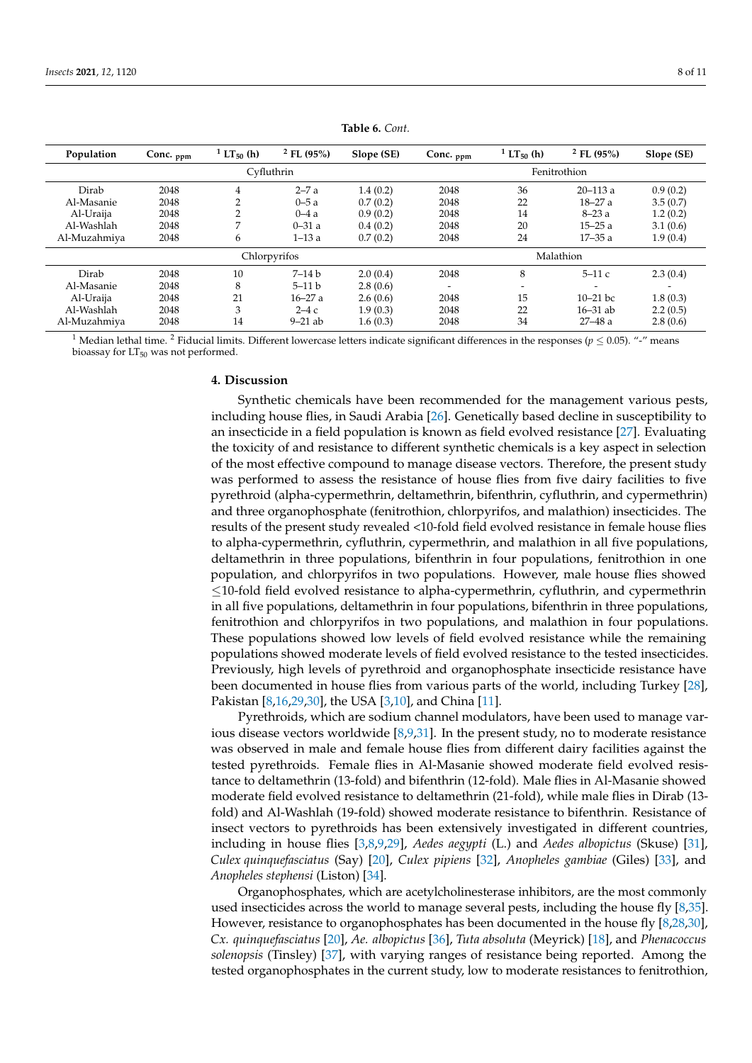<span id="page-7-0"></span>

| Population   | Conc. <sub>ppm</sub> | <sup>1</sup> LT <sub>50</sub> (h) | $2$ FL (95%) | Slope (SE) | Conc. <sub>ppm</sub> | <sup>1</sup> LT <sub>50</sub> (h) | $2$ FL (95%) | Slope (SE) |
|--------------|----------------------|-----------------------------------|--------------|------------|----------------------|-----------------------------------|--------------|------------|
|              |                      |                                   | Cyfluthrin   |            |                      |                                   | Fenitrothion |            |
| Dirab        | 2048                 | 4                                 | $2 - 7a$     | 1.4(0.2)   | 2048                 | 36                                | $20 - 113$ a | 0.9(0.2)   |
| Al-Masanie   | 2048                 |                                   | $0 - 5a$     | 0.7(0.2)   | 2048                 | 22                                | $18 - 27a$   | 3.5(0.7)   |
| Al-Uraija    | 2048                 | C.                                | $0-4a$       | 0.9(0.2)   | 2048                 | 14                                | $8 - 23a$    | 1.2(0.2)   |
| Al-Washlah   | 2048                 | ⇁                                 | $0 - 31a$    | 0.4(0.2)   | 2048                 | 20                                | $15 - 25a$   | 3.1(0.6)   |
| Al-Muzahmiya | 2048                 | 6                                 | $1 - 13a$    | 0.7(0.2)   | 2048                 | 24                                | $17 - 35a$   | 1.9(0.4)   |
|              |                      |                                   | Chlorpyrifos |            |                      |                                   | Malathion    |            |
| Dirab        | 2048                 | 10                                | $7 - 14 b$   | 2.0(0.4)   | 2048                 | 8                                 | $5-11c$      | 2.3(0.4)   |
| Al-Masanie   | 2048                 | 8                                 | $5 - 11 b$   | 2.8(0.6)   | -                    | -                                 |              |            |
| Al-Uraija    | 2048                 | 21                                | $16 - 27a$   | 2.6(0.6)   | 2048                 | 15                                | $10-21$ bc   | 1.8(0.3)   |
| Al-Washlah   | 2048                 | 3                                 | $2-4c$       | 1.9(0.3)   | 2048                 | 22                                | $16 - 31$ ab | 2.2(0.5)   |
| Al-Muzahmiya | 2048                 | 14                                | $9-21$ ab    | 1.6(0.3)   | 2048                 | 34                                | $27 - 48a$   | 2.8(0.6)   |

**Table 6.** *Cont.*

<sup>1</sup> Median lethal time. <sup>2</sup> Fiducial limits. Different lowercase letters indicate significant differences in the responses ( $p < 0.05$ ). "-" means bioassay for  $LT_{50}$  was not performed.

## **4. Discussion**

Synthetic chemicals have been recommended for the management various pests, including house flies, in Saudi Arabia [\[26\]](#page-9-14). Genetically based decline in susceptibility to an insecticide in a field population is known as field evolved resistance [\[27\]](#page-9-15). Evaluating the toxicity of and resistance to different synthetic chemicals is a key aspect in selection of the most effective compound to manage disease vectors. Therefore, the present study was performed to assess the resistance of house flies from five dairy facilities to five pyrethroid (alpha-cypermethrin, deltamethrin, bifenthrin, cyfluthrin, and cypermethrin) and three organophosphate (fenitrothion, chlorpyrifos, and malathion) insecticides. The results of the present study revealed <10-fold field evolved resistance in female house flies to alpha-cypermethrin, cyfluthrin, cypermethrin, and malathion in all five populations, deltamethrin in three populations, bifenthrin in four populations, fenitrothion in one population, and chlorpyrifos in two populations. However, male house flies showed ≤10-fold field evolved resistance to alpha-cypermethrin, cyfluthrin, and cypermethrin in all five populations, deltamethrin in four populations, bifenthrin in three populations, fenitrothion and chlorpyrifos in two populations, and malathion in four populations. These populations showed low levels of field evolved resistance while the remaining populations showed moderate levels of field evolved resistance to the tested insecticides. Previously, high levels of pyrethroid and organophosphate insecticide resistance have been documented in house flies from various parts of the world, including Turkey [\[28\]](#page-9-16), Pakistan [\[8,](#page-8-5)[16,](#page-9-4)[29,](#page-9-17)[30\]](#page-9-18), the USA [\[3,](#page-8-7)[10\]](#page-9-8), and China [\[11\]](#page-9-0).

Pyrethroids, which are sodium channel modulators, have been used to manage various disease vectors worldwide  $[8,9,31]$  $[8,9,31]$  $[8,9,31]$ . In the present study, no to moderate resistance was observed in male and female house flies from different dairy facilities against the tested pyrethroids. Female flies in Al-Masanie showed moderate field evolved resistance to deltamethrin (13-fold) and bifenthrin (12-fold). Male flies in Al-Masanie showed moderate field evolved resistance to deltamethrin (21-fold), while male flies in Dirab (13 fold) and Al-Washlah (19-fold) showed moderate resistance to bifenthrin. Resistance of insect vectors to pyrethroids has been extensively investigated in different countries, including in house flies [\[3,](#page-8-7)[8,](#page-8-5)[9,](#page-8-6)[29\]](#page-9-17), *Aedes aegypti* (L.) and *Aedes albopictus* (Skuse) [\[31\]](#page-9-19), *Culex quinquefasciatus* (Say) [\[20\]](#page-9-7), *Culex pipiens* [\[32\]](#page-9-20), *Anopheles gambiae* (Giles) [\[33\]](#page-9-21), and *Anopheles stephensi* (Liston) [\[34\]](#page-9-22).

Organophosphates, which are acetylcholinesterase inhibitors, are the most commonly used insecticides across the world to manage several pests, including the house fly [\[8,](#page-8-5)[35\]](#page-9-23). However, resistance to organophosphates has been documented in the house fly [\[8](#page-8-5)[,28](#page-9-16)[,30\]](#page-9-18), *Cx. quinquefasciatus* [\[20\]](#page-9-7), *Ae. albopictus* [\[36\]](#page-9-24), *Tuta absoluta* (Meyrick) [\[18\]](#page-9-6), and *Phenacoccus solenopsis* (Tinsley) [\[37\]](#page-9-25), with varying ranges of resistance being reported. Among the tested organophosphates in the current study, low to moderate resistances to fenitrothion,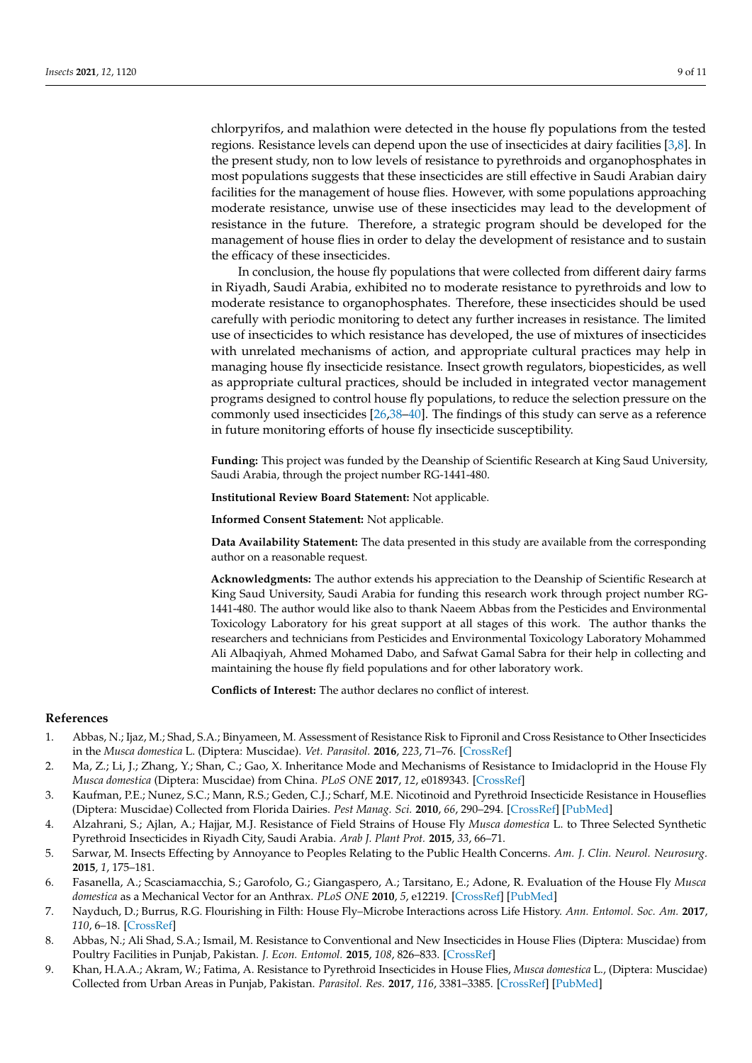chlorpyrifos, and malathion were detected in the house fly populations from the tested regions. Resistance levels can depend upon the use of insecticides at dairy facilities [\[3,](#page-8-7)[8\]](#page-8-5). In the present study, non to low levels of resistance to pyrethroids and organophosphates in most populations suggests that these insecticides are still effective in Saudi Arabian dairy facilities for the management of house flies. However, with some populations approaching moderate resistance, unwise use of these insecticides may lead to the development of resistance in the future. Therefore, a strategic program should be developed for the management of house flies in order to delay the development of resistance and to sustain the efficacy of these insecticides.

In conclusion, the house fly populations that were collected from different dairy farms in Riyadh, Saudi Arabia, exhibited no to moderate resistance to pyrethroids and low to moderate resistance to organophosphates. Therefore, these insecticides should be used carefully with periodic monitoring to detect any further increases in resistance. The limited use of insecticides to which resistance has developed, the use of mixtures of insecticides with unrelated mechanisms of action, and appropriate cultural practices may help in managing house fly insecticide resistance. Insect growth regulators, biopesticides, as well as appropriate cultural practices, should be included in integrated vector management programs designed to control house fly populations, to reduce the selection pressure on the commonly used insecticides [\[26,](#page-9-14)[38](#page-9-26)[–40\]](#page-10-0). The findings of this study can serve as a reference in future monitoring efforts of house fly insecticide susceptibility.

**Funding:** This project was funded by the Deanship of Scientific Research at King Saud University, Saudi Arabia, through the project number RG-1441-480.

**Institutional Review Board Statement:** Not applicable.

**Informed Consent Statement:** Not applicable.

**Data Availability Statement:** The data presented in this study are available from the corresponding author on a reasonable request.

**Acknowledgments:** The author extends his appreciation to the Deanship of Scientific Research at King Saud University, Saudi Arabia for funding this research work through project number RG-1441-480. The author would like also to thank Naeem Abbas from the Pesticides and Environmental Toxicology Laboratory for his great support at all stages of this work. The author thanks the researchers and technicians from Pesticides and Environmental Toxicology Laboratory Mohammed Ali Albaqiyah, Ahmed Mohamed Dabo, and Safwat Gamal Sabra for their help in collecting and maintaining the house fly field populations and for other laboratory work.

**Conflicts of Interest:** The author declares no conflict of interest.

#### **References**

- <span id="page-8-0"></span>1. Abbas, N.; Ijaz, M.; Shad, S.A.; Binyameen, M. Assessment of Resistance Risk to Fipronil and Cross Resistance to Other Insecticides in the *Musca domestica* L. (Diptera: Muscidae). *Vet. Parasitol.* **2016**, *223*, 71–76. [\[CrossRef\]](http://doi.org/10.1016/j.vetpar.2016.04.026)
- 2. Ma, Z.; Li, J.; Zhang, Y.; Shan, C.; Gao, X. Inheritance Mode and Mechanisms of Resistance to Imidacloprid in the House Fly *Musca domestica* (Diptera: Muscidae) from China. *PLoS ONE* **2017**, *12*, e0189343. [\[CrossRef\]](http://doi.org/10.1371/journal.pone.0189343)
- <span id="page-8-7"></span>3. Kaufman, P.E.; Nunez, S.C.; Mann, R.S.; Geden, C.J.; Scharf, M.E. Nicotinoid and Pyrethroid Insecticide Resistance in Houseflies (Diptera: Muscidae) Collected from Florida Dairies. *Pest Manag. Sci.* **2010**, *66*, 290–294. [\[CrossRef\]](http://doi.org/10.1002/ps.1872) [\[PubMed\]](http://www.ncbi.nlm.nih.gov/pubmed/19904713)
- <span id="page-8-1"></span>4. Alzahrani, S.; Ajlan, A.; Hajjar, M.J. Resistance of Field Strains of House Fly *Musca domestica* L. to Three Selected Synthetic Pyrethroid Insecticides in Riyadh City, Saudi Arabia. *Arab J. Plant Prot.* **2015**, *33*, 66–71.
- <span id="page-8-2"></span>5. Sarwar, M. Insects Effecting by Annoyance to Peoples Relating to the Public Health Concerns. *Am. J. Clin. Neurol. Neurosurg.* **2015**, *1*, 175–181.
- <span id="page-8-3"></span>6. Fasanella, A.; Scasciamacchia, S.; Garofolo, G.; Giangaspero, A.; Tarsitano, E.; Adone, R. Evaluation of the House Fly *Musca domestica* as a Mechanical Vector for an Anthrax. *PLoS ONE* **2010**, *5*, e12219. [\[CrossRef\]](http://doi.org/10.1371/journal.pone.0012219) [\[PubMed\]](http://www.ncbi.nlm.nih.gov/pubmed/20808920)
- <span id="page-8-4"></span>7. Nayduch, D.; Burrus, R.G. Flourishing in Filth: House Fly–Microbe Interactions across Life History. *Ann. Entomol. Soc. Am.* **2017**, *110*, 6–18. [\[CrossRef\]](http://doi.org/10.1093/aesa/saw083)
- <span id="page-8-5"></span>8. Abbas, N.; Ali Shad, S.A.; Ismail, M. Resistance to Conventional and New Insecticides in House Flies (Diptera: Muscidae) from Poultry Facilities in Punjab, Pakistan. *J. Econ. Entomol.* **2015**, *108*, 826–833. [\[CrossRef\]](http://doi.org/10.1093/jee/tou057)
- <span id="page-8-6"></span>9. Khan, H.A.A.; Akram, W.; Fatima, A. Resistance to Pyrethroid Insecticides in House Flies, *Musca domestica* L., (Diptera: Muscidae) Collected from Urban Areas in Punjab, Pakistan. *Parasitol. Res.* **2017**, *116*, 3381–3385. [\[CrossRef\]](http://doi.org/10.1007/s00436-017-5659-8) [\[PubMed\]](http://www.ncbi.nlm.nih.gov/pubmed/29075926)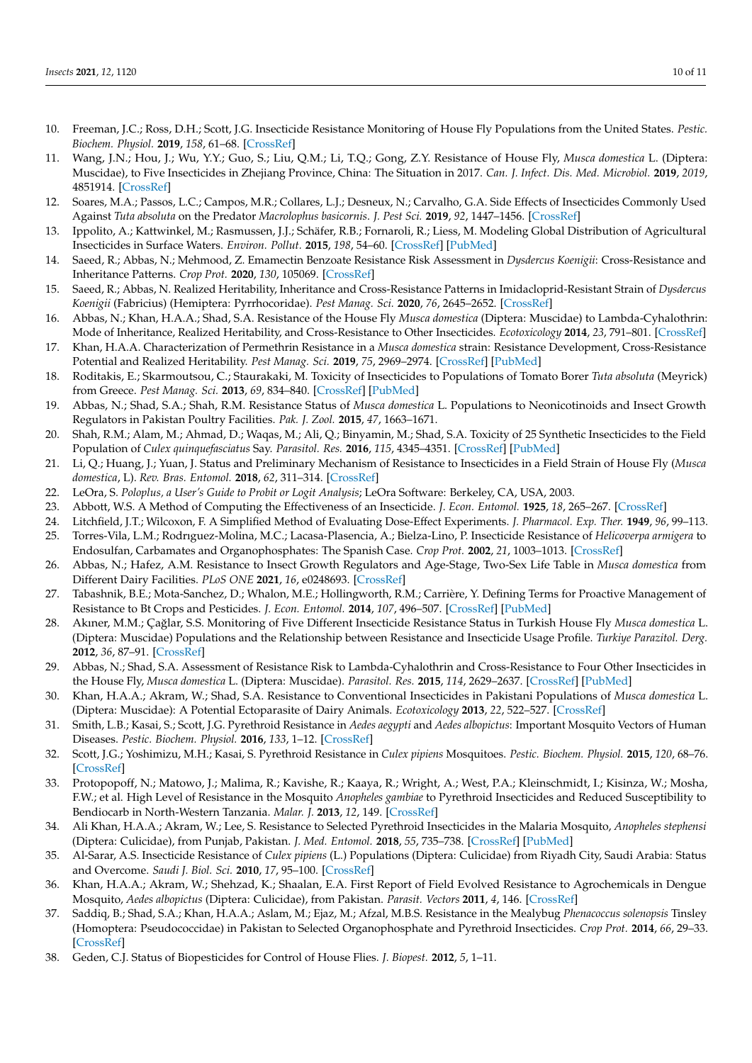- <span id="page-9-8"></span>10. Freeman, J.C.; Ross, D.H.; Scott, J.G. Insecticide Resistance Monitoring of House Fly Populations from the United States. *Pestic. Biochem. Physiol.* **2019**, *158*, 61–68. [\[CrossRef\]](http://doi.org/10.1016/j.pestbp.2019.04.006)
- <span id="page-9-0"></span>11. Wang, J.N.; Hou, J.; Wu, Y.Y.; Guo, S.; Liu, Q.M.; Li, T.Q.; Gong, Z.Y. Resistance of House Fly, *Musca domestica* L. (Diptera: Muscidae), to Five Insecticides in Zhejiang Province, China: The Situation in 2017. *Can. J. Infect. Dis. Med. Microbiol.* **2019**, *2019*, 4851914. [\[CrossRef\]](http://doi.org/10.1155/2019/4851914)
- <span id="page-9-1"></span>12. Soares, M.A.; Passos, L.C.; Campos, M.R.; Collares, L.J.; Desneux, N.; Carvalho, G.A. Side Effects of Insecticides Commonly Used Against *Tuta absoluta* on the Predator *Macrolophus basicornis*. *J. Pest Sci.* **2019**, *92*, 1447–1456. [\[CrossRef\]](http://doi.org/10.1007/s10340-019-01099-4)
- <span id="page-9-2"></span>13. Ippolito, A.; Kattwinkel, M.; Rasmussen, J.J.; Schäfer, R.B.; Fornaroli, R.; Liess, M. Modeling Global Distribution of Agricultural Insecticides in Surface Waters. *Environ. Pollut.* **2015**, *198*, 54–60. [\[CrossRef\]](http://doi.org/10.1016/j.envpol.2014.12.016) [\[PubMed\]](http://www.ncbi.nlm.nih.gov/pubmed/25555206)
- <span id="page-9-3"></span>14. Saeed, R.; Abbas, N.; Mehmood, Z. Emamectin Benzoate Resistance Risk Assessment in *Dysdercus Koenigii*: Cross-Resistance and Inheritance Patterns. *Crop Prot.* **2020**, *130*, 105069. [\[CrossRef\]](http://doi.org/10.1016/j.cropro.2019.105069)
- 15. Saeed, R.; Abbas, N. Realized Heritability, Inheritance and Cross-Resistance Patterns in Imidacloprid-Resistant Strain of *Dysdercus Koenigii* (Fabricius) (Hemiptera: Pyrrhocoridae). *Pest Manag. Sci.* **2020**, *76*, 2645–2652. [\[CrossRef\]](http://doi.org/10.1002/ps.5806)
- <span id="page-9-4"></span>16. Abbas, N.; Khan, H.A.A.; Shad, S.A. Resistance of the House Fly *Musca domestica* (Diptera: Muscidae) to Lambda-Cyhalothrin: Mode of Inheritance, Realized Heritability, and Cross-Resistance to Other Insecticides. *Ecotoxicology* **2014**, *23*, 791–801. [\[CrossRef\]](http://doi.org/10.1007/s10646-014-1217-7)
- <span id="page-9-5"></span>17. Khan, H.A.A. Characterization of Permethrin Resistance in a *Musca domestica* strain: Resistance Development, Cross-Resistance Potential and Realized Heritability. *Pest Manag. Sci.* **2019**, *75*, 2969–2974. [\[CrossRef\]](http://doi.org/10.1002/ps.5409) [\[PubMed\]](http://www.ncbi.nlm.nih.gov/pubmed/30873734)
- <span id="page-9-6"></span>18. Roditakis, E.; Skarmoutsou, C.; Staurakaki, M. Toxicity of Insecticides to Populations of Tomato Borer *Tuta absoluta* (Meyrick) from Greece. *Pest Manag. Sci.* **2013**, *69*, 834–840. [\[CrossRef\]](http://doi.org/10.1002/ps.3442) [\[PubMed\]](http://www.ncbi.nlm.nih.gov/pubmed/23757288)
- 19. Abbas, N.; Shad, S.A.; Shah, R.M. Resistance Status of *Musca domestica* L. Populations to Neonicotinoids and Insect Growth Regulators in Pakistan Poultry Facilities. *Pak. J. Zool.* **2015**, *47*, 1663–1671.
- <span id="page-9-7"></span>20. Shah, R.M.; Alam, M.; Ahmad, D.; Waqas, M.; Ali, Q.; Binyamin, M.; Shad, S.A. Toxicity of 25 Synthetic Insecticides to the Field Population of *Culex quinquefasciatus* Say. *Parasitol. Res.* **2016**, *115*, 4345–4351. [\[CrossRef\]](http://doi.org/10.1007/s00436-016-5218-8) [\[PubMed\]](http://www.ncbi.nlm.nih.gov/pubmed/27530515)
- <span id="page-9-9"></span>21. Li, Q.; Huang, J.; Yuan, J. Status and Preliminary Mechanism of Resistance to Insecticides in a Field Strain of House Fly (*Musca domestica*, L). *Rev. Bras. Entomol.* **2018**, *62*, 311–314. [\[CrossRef\]](http://doi.org/10.1016/j.rbe.2018.09.003)
- <span id="page-9-10"></span>22. LeOra, S. *Poloplus, a User's Guide to Probit or Logit Analysis*; LeOra Software: Berkeley, CA, USA, 2003.
- <span id="page-9-11"></span>23. Abbott, W.S. A Method of Computing the Effectiveness of an Insecticide. *J. Econ. Entomol.* **1925**, *18*, 265–267. [\[CrossRef\]](http://doi.org/10.1093/jee/18.2.265a)
- <span id="page-9-12"></span>24. Litchfield, J.T.; Wilcoxon, F. A Simplified Method of Evaluating Dose-Effect Experiments. *J. Pharmacol. Exp. Ther.* **1949**, *96*, 99–113.
- <span id="page-9-13"></span>25. Torres-Vila, L.M.; Rodrıguez-Molina, M.C.; Lacasa-Plasencia, A.; Bielza-Lino, P. Insecticide Resistance of *Helicoverpa armigera* to Endosulfan, Carbamates and Organophosphates: The Spanish Case. *Crop Prot.* **2002**, *21*, 1003–1013. [\[CrossRef\]](http://doi.org/10.1016/S0261-2194(02)00081-9)
- <span id="page-9-14"></span>26. Abbas, N.; Hafez, A.M. Resistance to Insect Growth Regulators and Age-Stage, Two-Sex Life Table in *Musca domestica* from Different Dairy Facilities. *PLoS ONE* **2021**, *16*, e0248693. [\[CrossRef\]](http://doi.org/10.1371/journal.pone.0248693)
- <span id="page-9-15"></span>27. Tabashnik, B.E.; Mota-Sanchez, D.; Whalon, M.E.; Hollingworth, R.M.; Carrière, Y. Defining Terms for Proactive Management of Resistance to Bt Crops and Pesticides. *J. Econ. Entomol.* **2014**, *107*, 496–507. [\[CrossRef\]](http://doi.org/10.1603/EC13458) [\[PubMed\]](http://www.ncbi.nlm.nih.gov/pubmed/24772527)
- <span id="page-9-16"></span>28. Akıner, M.M.; Çağlar, S.S. Monitoring of Five Different Insecticide Resistance Status in Turkish House Fly *Musca domestica* L. (Diptera: Muscidae) Populations and the Relationship between Resistance and Insecticide Usage Profile. *Turkiye Parazitol. Derg.* **2012**, *36*, 87–91. [\[CrossRef\]](http://doi.org/10.5152/tpd.2012.21)
- <span id="page-9-17"></span>29. Abbas, N.; Shad, S.A. Assessment of Resistance Risk to Lambda-Cyhalothrin and Cross-Resistance to Four Other Insecticides in the House Fly, *Musca domestica* L. (Diptera: Muscidae). *Parasitol. Res.* **2015**, *114*, 2629–2637. [\[CrossRef\]](http://doi.org/10.1007/s00436-015-4467-2) [\[PubMed\]](http://www.ncbi.nlm.nih.gov/pubmed/25903007)
- <span id="page-9-18"></span>30. Khan, H.A.A.; Akram, W.; Shad, S.A. Resistance to Conventional Insecticides in Pakistani Populations of *Musca domestica* L. (Diptera: Muscidae): A Potential Ectoparasite of Dairy Animals. *Ecotoxicology* **2013**, *22*, 522–527. [\[CrossRef\]](http://doi.org/10.1007/s10646-013-1044-2)
- <span id="page-9-19"></span>31. Smith, L.B.; Kasai, S.; Scott, J.G. Pyrethroid Resistance in *Aedes aegypti* and *Aedes albopictus*: Important Mosquito Vectors of Human Diseases. *Pestic. Biochem. Physiol.* **2016**, *133*, 1–12. [\[CrossRef\]](http://doi.org/10.1016/j.pestbp.2016.03.005)
- <span id="page-9-20"></span>32. Scott, J.G.; Yoshimizu, M.H.; Kasai, S. Pyrethroid Resistance in *Culex pipiens* Mosquitoes. *Pestic. Biochem. Physiol.* **2015**, *120*, 68–76. [\[CrossRef\]](http://doi.org/10.1016/j.pestbp.2014.12.018)
- <span id="page-9-21"></span>33. Protopopoff, N.; Matowo, J.; Malima, R.; Kavishe, R.; Kaaya, R.; Wright, A.; West, P.A.; Kleinschmidt, I.; Kisinza, W.; Mosha, F.W.; et al. High Level of Resistance in the Mosquito *Anopheles gambiae* to Pyrethroid Insecticides and Reduced Susceptibility to Bendiocarb in North-Western Tanzania. *Malar. J.* **2013**, *12*, 149. [\[CrossRef\]](http://doi.org/10.1186/1475-2875-12-149)
- <span id="page-9-22"></span>34. Ali Khan, H.A.A.; Akram, W.; Lee, S. Resistance to Selected Pyrethroid Insecticides in the Malaria Mosquito, *Anopheles stephensi* (Diptera: Culicidae), from Punjab, Pakistan. *J. Med. Entomol.* **2018**, *55*, 735–738. [\[CrossRef\]](http://doi.org/10.1093/jme/tjx247) [\[PubMed\]](http://www.ncbi.nlm.nih.gov/pubmed/29346647)
- <span id="page-9-23"></span>35. Al-Sarar, A.S. Insecticide Resistance of *Culex pipiens* (L.) Populations (Diptera: Culicidae) from Riyadh City, Saudi Arabia: Status and Overcome. *Saudi J. Biol. Sci.* **2010**, *17*, 95–100. [\[CrossRef\]](http://doi.org/10.1016/j.sjbs.2010.02.001)
- <span id="page-9-24"></span>36. Khan, H.A.A.; Akram, W.; Shehzad, K.; Shaalan, E.A. First Report of Field Evolved Resistance to Agrochemicals in Dengue Mosquito, *Aedes albopictus* (Diptera: Culicidae), from Pakistan. *Parasit. Vectors* **2011**, *4*, 146. [\[CrossRef\]](http://doi.org/10.1186/1756-3305-4-146)
- <span id="page-9-25"></span>37. Saddiq, B.; Shad, S.A.; Khan, H.A.A.; Aslam, M.; Ejaz, M.; Afzal, M.B.S. Resistance in the Mealybug *Phenacoccus solenopsis* Tinsley (Homoptera: Pseudococcidae) in Pakistan to Selected Organophosphate and Pyrethroid Insecticides. *Crop Prot.* **2014**, *66*, 29–33. [\[CrossRef\]](http://doi.org/10.1016/j.cropro.2014.08.006)
- <span id="page-9-26"></span>38. Geden, C.J. Status of Biopesticides for Control of House Flies. *J. Biopest.* **2012**, *5*, 1–11.